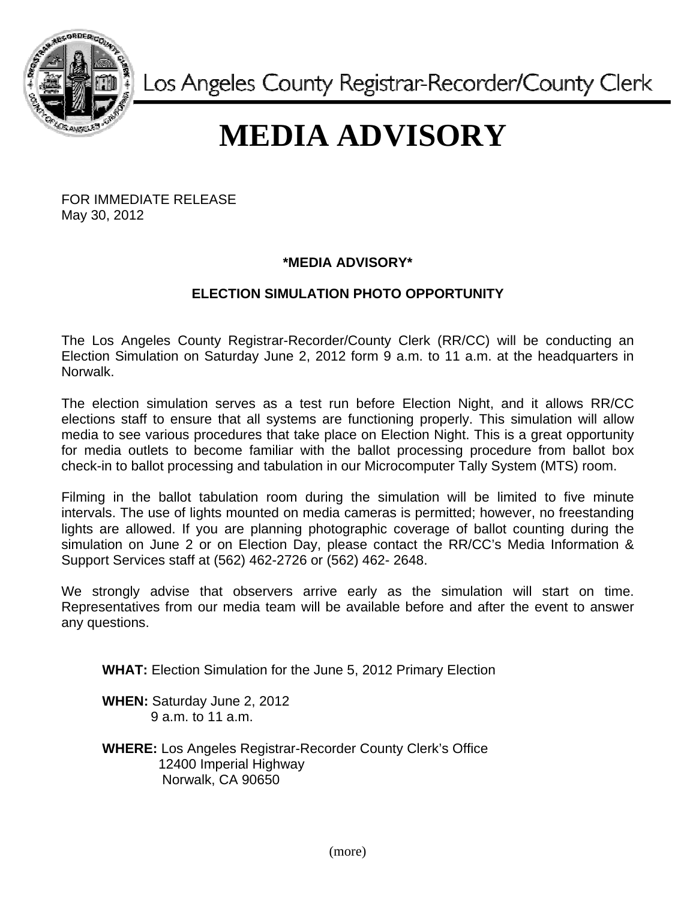

Los Angeles County Registrar-Recorder/County Clerk

## **MEDIA ADVISORY**

FOR IMMEDIATE RELEASE May 30, 2012

## **\*MEDIA ADVISORY\***

## **ELECTION SIMULATION PHOTO OPPORTUNITY**

The Los Angeles County Registrar-Recorder/County Clerk (RR/CC) will be conducting an Election Simulation on Saturday June 2, 2012 form 9 a.m. to 11 a.m. at the headquarters in Norwalk.

The election simulation serves as a test run before Election Night, and it allows RR/CC elections staff to ensure that all systems are functioning properly. This simulation will allow media to see various procedures that take place on Election Night. This is a great opportunity for media outlets to become familiar with the ballot processing procedure from ballot box check-in to ballot processing and tabulation in our Microcomputer Tally System (MTS) room.

Filming in the ballot tabulation room during the simulation will be limited to five minute intervals. The use of lights mounted on media cameras is permitted; however, no freestanding lights are allowed. If you are planning photographic coverage of ballot counting during the simulation on June 2 or on Election Day, please contact the RR/CC's Media Information & Support Services staff at (562) 462-2726 or (562) 462- 2648.

We strongly advise that observers arrive early as the simulation will start on time. Representatives from our media team will be available before and after the event to answer any questions.

**WHAT:** Election Simulation for the June 5, 2012 Primary Election

**WHEN:** Saturday June 2, 2012 9 a.m. to 11 a.m.

**WHERE:** Los Angeles Registrar-Recorder County Clerk's Office 12400 Imperial Highway Norwalk, CA 90650